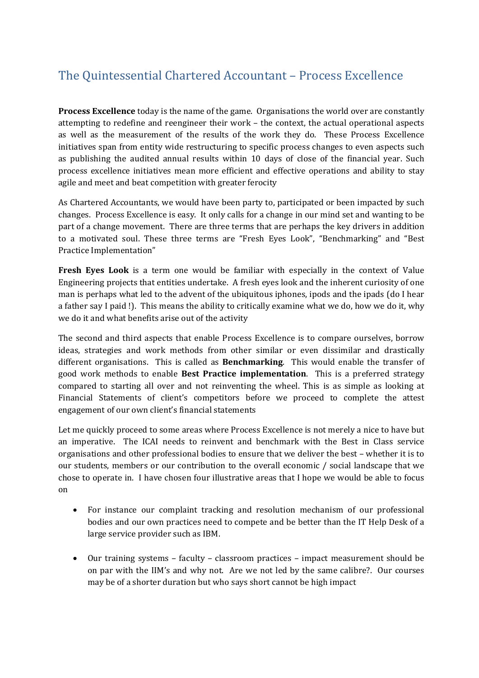## The Quintessential Chartered Accountant – Process Excellence

**Process Excellence** today is the name of the game. Organisations the world over are constantly attempting to redefine and reengineer their work – the context, the actual operational aspects as well as the measurement of the results of the work they do. These Process Excellence initiatives span from entity wide restructuring to specific process changes to even aspects such as publishing the audited annual results within 10 days of close of the financial year. Such process excellence initiatives mean more efficient and effective operations and ability to stay agile and meet and beat competition with greater ferocity

As Chartered Accountants, we would have been party to, participated or been impacted by such changes. Process Excellence is easy. It only calls for a change in our mind set and wanting to be part of a change movement. There are three terms that are perhaps the key drivers in addition to a motivated soul. These three terms are "Fresh Eyes Look", "Benchmarking" and "Best Practice Implementation"

**Fresh Eyes Look** is a term one would be familiar with especially in the context of Value Engineering projects that entities undertake. A fresh eyes look and the inherent curiosity of one man is perhaps what led to the advent of the ubiquitous iphones, ipods and the ipads (do I hear a father say I paid !). This means the ability to critically examine what we do, how we do it, why we do it and what benefits arise out of the activity

The second and third aspects that enable Process Excellence is to compare ourselves, borrow ideas, strategies and work methods from other similar or even dissimilar and drastically different organisations. This is called as **Benchmarking**. This would enable the transfer of good work methods to enable **Best Practice implementation**. This is a preferred strategy compared to starting all over and not reinventing the wheel. This is as simple as looking at Financial Statements of client's competitors before we proceed to complete the attest engagement of our own client's financial statements

Let me quickly proceed to some areas where Process Excellence is not merely a nice to have but an imperative. The ICAI needs to reinvent and benchmark with the Best in Class service organisations and other professional bodies to ensure that we deliver the best – whether it is to our students, members or our contribution to the overall economic / social landscape that we chose to operate in. I have chosen four illustrative areas that I hope we would be able to focus on

- For instance our complaint tracking and resolution mechanism of our professional bodies and our own practices need to compete and be better than the IT Help Desk of a large service provider such as IBM.
- Our training systems faculty classroom practices impact measurement should be on par with the IIM's and why not. Are we not led by the same calibre?. Our courses may be of a shorter duration but who says short cannot be high impact